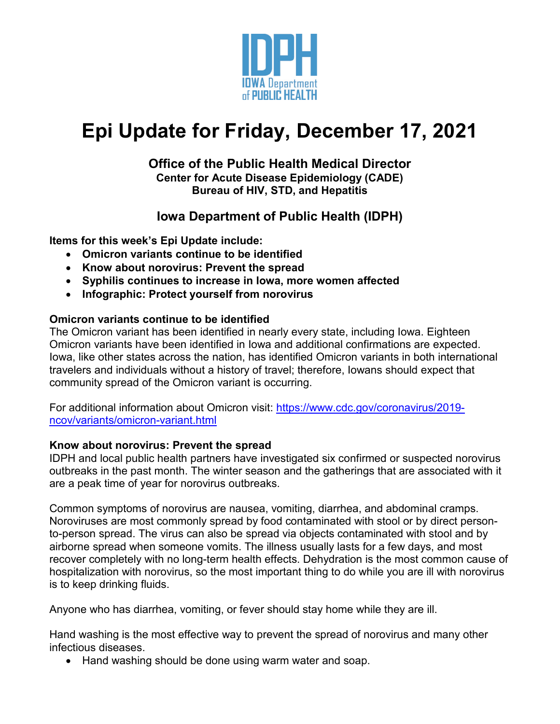

# **Epi Update for Friday, December 17, 2021**

#### **Office of the Public Health Medical Director Center for Acute Disease Epidemiology (CADE) Bureau of HIV, STD, and Hepatitis**

# **Iowa Department of Public Health (IDPH)**

**Items for this week's Epi Update include:**

- **Omicron variants continue to be identified**
- **Know about norovirus: Prevent the spread**
- **Syphilis continues to increase in Iowa, more women affected**
- **Infographic: Protect yourself from norovirus**

## **Omicron variants continue to be identified**

The Omicron variant has been identified in nearly every state, including Iowa. Eighteen Omicron variants have been identified in Iowa and additional confirmations are expected. Iowa, like other states across the nation, has identified Omicron variants in both international travelers and individuals without a history of travel; therefore, Iowans should expect that community spread of the Omicron variant is occurring.

For additional information about Omicron visit: [https://www.cdc.gov/coronavirus/2019](https://www.cdc.gov/coronavirus/2019-ncov/variants/omicron-variant.html) [ncov/variants/omicron-variant.html](https://www.cdc.gov/coronavirus/2019-ncov/variants/omicron-variant.html)

### **Know about norovirus: Prevent the spread**

IDPH and local public health partners have investigated six confirmed or suspected norovirus outbreaks in the past month. The winter season and the gatherings that are associated with it are a peak time of year for norovirus outbreaks.

Common symptoms of norovirus are nausea, vomiting, diarrhea, and abdominal cramps. Noroviruses are most commonly spread by food contaminated with stool or by direct personto-person spread. The virus can also be spread via objects contaminated with stool and by airborne spread when someone vomits. The illness usually lasts for a few days, and most recover completely with no long-term health effects. Dehydration is the most common cause of hospitalization with norovirus, so the most important thing to do while you are ill with norovirus is to keep drinking fluids.

Anyone who has diarrhea, vomiting, or fever should stay home while they are ill.

Hand washing is the most effective way to prevent the spread of norovirus and many other infectious diseases.

• Hand washing should be done using warm water and soap.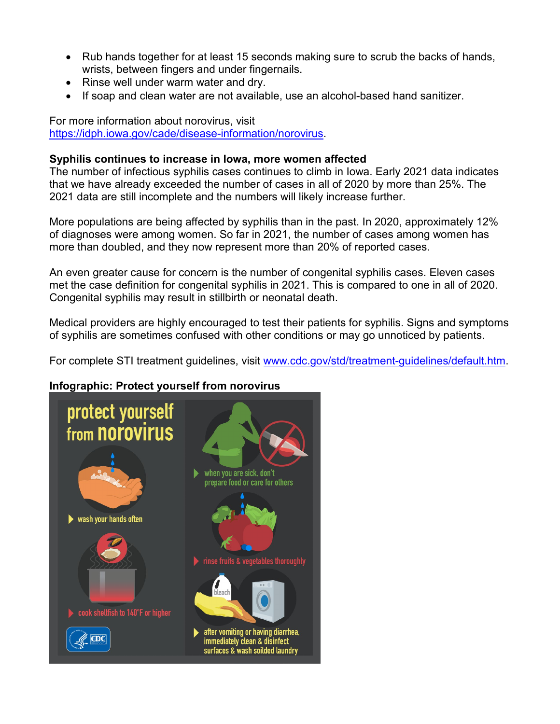- Rub hands together for at least 15 seconds making sure to scrub the backs of hands, wrists, between fingers and under fingernails.
- Rinse well under warm water and dry.
- If soap and clean water are not available, use an alcohol-based hand sanitizer.

For more information about norovirus, visit [https://idph.iowa.gov/cade/disease-information/norovirus.](https://idph.iowa.gov/cade/disease-information/norovirus)

#### **Syphilis continues to increase in Iowa, more women affected**

The number of infectious syphilis cases continues to climb in Iowa. Early 2021 data indicates that we have already exceeded the number of cases in all of 2020 by more than 25%. The 2021 data are still incomplete and the numbers will likely increase further.

More populations are being affected by syphilis than in the past. In 2020, approximately 12% of diagnoses were among women. So far in 2021, the number of cases among women has more than doubled, and they now represent more than 20% of reported cases.

An even greater cause for concern is the number of congenital syphilis cases. Eleven cases met the case definition for congenital syphilis in 2021. This is compared to one in all of 2020. Congenital syphilis may result in stillbirth or neonatal death.

Medical providers are highly encouraged to test their patients for syphilis. Signs and symptoms of syphilis are sometimes confused with other conditions or may go unnoticed by patients.

For complete STI treatment guidelines, visit [www.cdc.gov/std/treatment-guidelines/default.htm.](http://www.cdc.gov/std/treatment-guidelines/default.htm)

### **Infographic: [Protect yourself from norovirus](https://www.cdc.gov/norovirus/images/info-norovirus-poster.png)**